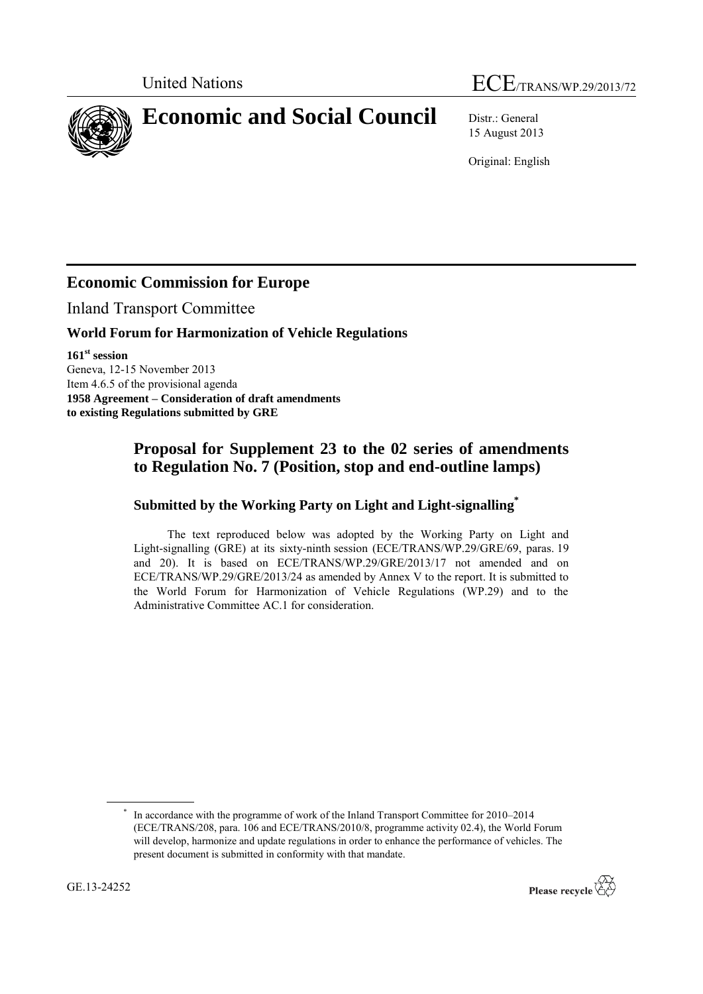# United Nations ECE/TRANS/WP.29/2013/72

**Economic and Social Council** Distr.: General

15 August 2013

Original: English

# **Economic Commission for Europe**

Inland Transport Committee

### **World Forum for Harmonization of Vehicle Regulations**

**161 st session** Geneva, 12-15 November 2013 Item 4.6.5 of the provisional agenda **1958 Agreement – Consideration of draft amendments to existing Regulations submitted by GRE**

## **Proposal for Supplement 23 to the 02 series of amendments to Regulation No. 7 (Position, stop and end-outline lamps)**

#### **Submitted by the Working Party on Light and Light-signalling\***

The text reproduced below was adopted by the Working Party on Light and Light-signalling (GRE) at its sixty-ninth session (ECE/TRANS/WP.29/GRE/69, paras. 19 and 20). It is based on ECE/TRANS/WP.29/GRE/2013/17 not amended and on ECE/TRANS/WP.29/GRE/2013/24 as amended by Annex V to the report. It is submitted to the World Forum for Harmonization of Vehicle Regulations (WP.29) and to the Administrative Committee AC.1 for consideration.

<sup>\*</sup> In accordance with the programme of work of the Inland Transport Committee for 2010–2014 (ECE/TRANS/208, para. 106 and ECE/TRANS/2010/8, programme activity 02.4), the World Forum will develop, harmonize and update regulations in order to enhance the performance of vehicles. The present document is submitted in conformity with that mandate.

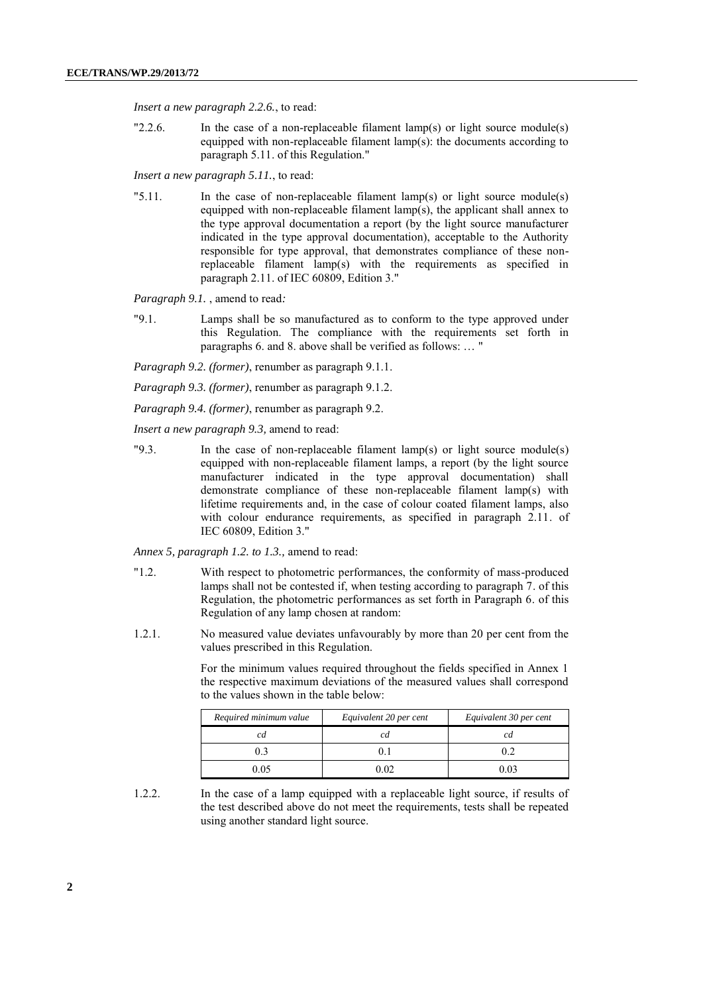*Insert a new paragraph 2.2.6.*, to read:

"2.2.6. In the case of a non-replaceable filament lamp(s) or light source module(s) equipped with non-replaceable filament lamp(s): the documents according to paragraph 5.11. of this Regulation."

*Insert a new paragraph 5.11.*, to read:

"5.11. In the case of non-replaceable filament lamp(s) or light source module(s) equipped with non-replaceable filament lamp(s), the applicant shall annex to the type approval documentation a report (by the light source manufacturer indicated in the type approval documentation), acceptable to the Authority responsible for type approval, that demonstrates compliance of these nonreplaceable filament lamp(s) with the requirements as specified in paragraph 2.11. of IEC 60809, Edition 3."

*Paragraph 9.1.* , amend to read*:*

"9.1. Lamps shall be so manufactured as to conform to the type approved under this Regulation. The compliance with the requirements set forth in paragraphs 6. and 8. above shall be verified as follows: … "

*Paragraph 9.2. (former)*, renumber as paragraph 9.1.1.

*Paragraph 9.3. (former)*, renumber as paragraph 9.1.2.

*Paragraph 9.4. (former)*, renumber as paragraph 9.2.

*Insert a new paragraph 9.3,* amend to read:

"9.3. In the case of non-replaceable filament lamp(s) or light source module(s) equipped with non-replaceable filament lamps, a report (by the light source manufacturer indicated in the type approval documentation) shall demonstrate compliance of these non-replaceable filament lamp(s) with lifetime requirements and, in the case of colour coated filament lamps, also with colour endurance requirements, as specified in paragraph 2.11. of IEC 60809, Edition 3."

*Annex 5, paragraph 1.2. to 1.3.,* amend to read:

- "1.2. With respect to photometric performances, the conformity of mass-produced lamps shall not be contested if, when testing according to paragraph 7. of this Regulation, the photometric performances as set forth in Paragraph 6. of this Regulation of any lamp chosen at random:
- 1.2.1. No measured value deviates unfavourably by more than 20 per cent from the values prescribed in this Regulation.

For the minimum values required throughout the fields specified in Annex 1 the respective maximum deviations of the measured values shall correspond to the values shown in the table below:

| Required minimum value | Equivalent 20 per cent | Equivalent 30 per cent |
|------------------------|------------------------|------------------------|
|                        |                        |                        |
| ງ 3                    |                        |                        |
| 0.05                   | ) ດາ                   | 0 03                   |

1.2.2. In the case of a lamp equipped with a replaceable light source, if results of the test described above do not meet the requirements, tests shall be repeated using another standard light source.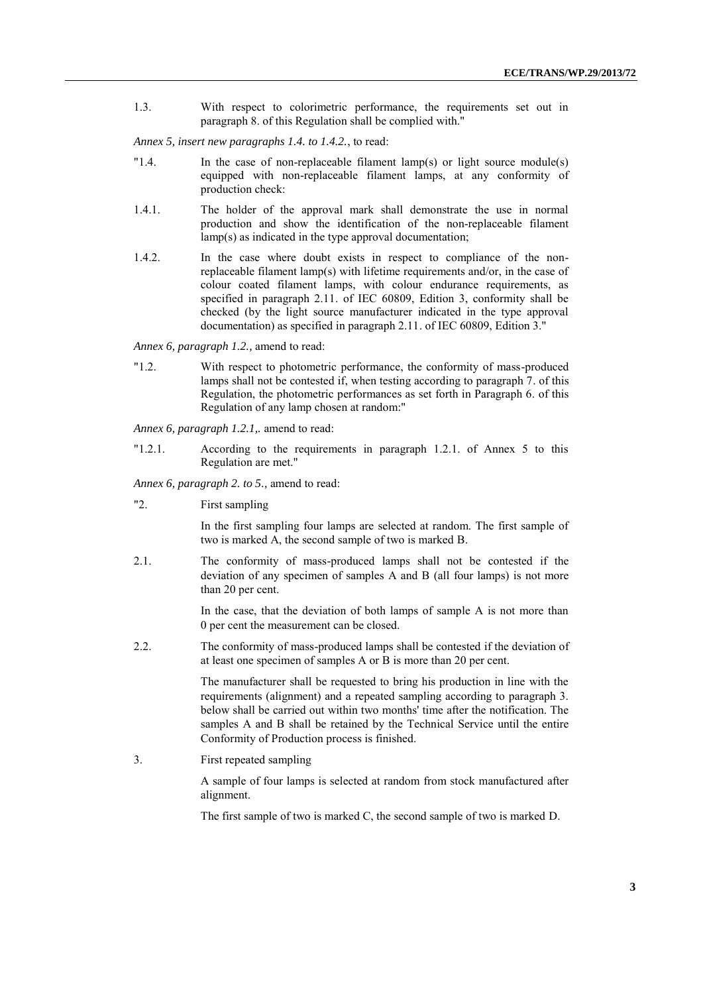1.3. With respect to colorimetric performance, the requirements set out in paragraph 8. of this Regulation shall be complied with."

*Annex 5, insert new paragraphs 1.4. to 1.4.2.*, to read:

- "1.4. In the case of non-replaceable filament lamp(s) or light source module(s) equipped with non-replaceable filament lamps, at any conformity of production check:
- 1.4.1. The holder of the approval mark shall demonstrate the use in normal production and show the identification of the non-replaceable filament lamp(s) as indicated in the type approval documentation;
- 1.4.2. In the case where doubt exists in respect to compliance of the nonreplaceable filament lamp(s) with lifetime requirements and/or, in the case of colour coated filament lamps, with colour endurance requirements, as specified in paragraph 2.11. of IEC 60809, Edition 3, conformity shall be checked (by the light source manufacturer indicated in the type approval documentation) as specified in paragraph 2.11. of IEC 60809, Edition 3."

*Annex 6, paragraph 1.2.,* amend to read:

"1.2. With respect to photometric performance, the conformity of mass-produced lamps shall not be contested if, when testing according to paragraph 7. of this Regulation, the photometric performances as set forth in Paragraph 6. of this Regulation of any lamp chosen at random:"

*Annex 6, paragraph 1.2.1,.* amend to read:

"1.2.1. According to the requirements in paragraph 1.2.1. of Annex 5 to this Regulation are met."

*Annex 6, paragraph 2. to 5.,* amend to read:

"2. First sampling

In the first sampling four lamps are selected at random. The first sample of two is marked A, the second sample of two is marked B.

2.1. The conformity of mass-produced lamps shall not be contested if the deviation of any specimen of samples A and B (all four lamps) is not more than 20 per cent.

> In the case, that the deviation of both lamps of sample A is not more than 0 per cent the measurement can be closed.

2.2. The conformity of mass-produced lamps shall be contested if the deviation of at least one specimen of samples A or B is more than 20 per cent.

> The manufacturer shall be requested to bring his production in line with the requirements (alignment) and a repeated sampling according to paragraph 3. below shall be carried out within two months' time after the notification. The samples A and B shall be retained by the Technical Service until the entire Conformity of Production process is finished.

3. First repeated sampling

A sample of four lamps is selected at random from stock manufactured after alignment.

The first sample of two is marked C, the second sample of two is marked D.